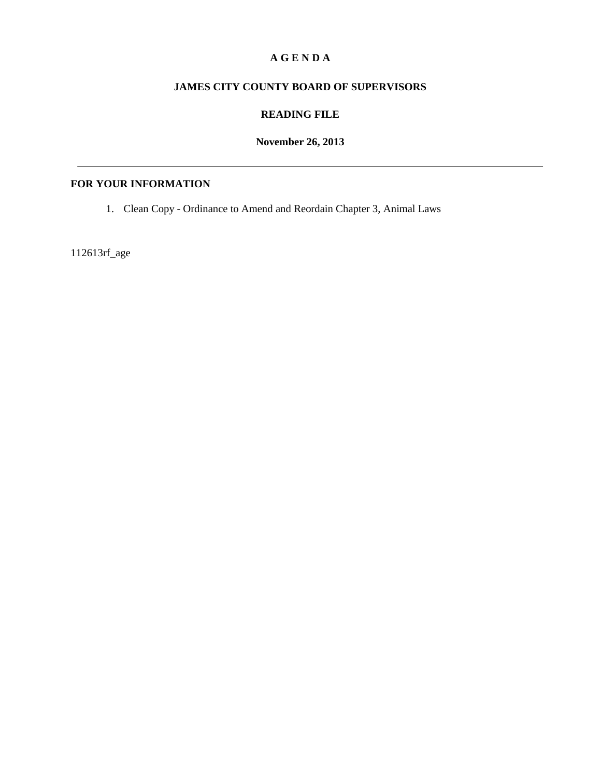### **A G E N D A**

### **JAMES CITY COUNTY BOARD OF SUPERVISORS**

## **READING FILE**

**November 26, 2013**

# **FOR YOUR INFORMATION**

1. Clean Copy - Ordinance to Amend and Reordain Chapter 3, Animal Laws

112613rf\_age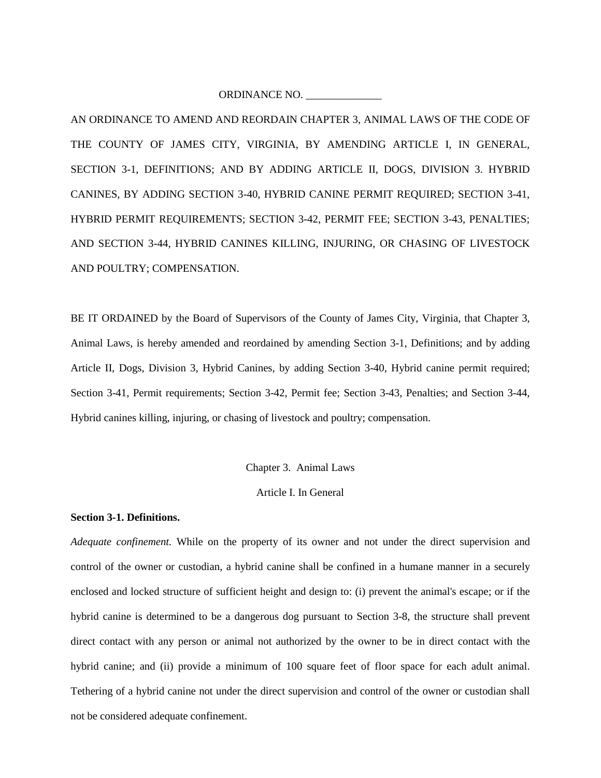ORDINANCE NO.

AN ORDINANCE TO AMEND AND REORDAIN CHAPTER 3, ANIMAL LAWS OF THE CODE OF THE COUNTY OF JAMES CITY, VIRGINIA, BY AMENDING ARTICLE I, IN GENERAL, SECTION 3-1, DEFINITIONS; AND BY ADDING ARTICLE II, DOGS, DIVISION 3. HYBRID CANINES, BY ADDING SECTION 3-40, HYBRID CANINE PERMIT REQUIRED; SECTION 3-41, HYBRID PERMIT REQUIREMENTS; SECTION 3-42, PERMIT FEE; SECTION 3-43, PENALTIES; AND SECTION 3-44, HYBRID CANINES KILLING, INJURING, OR CHASING OF LIVESTOCK AND POULTRY; COMPENSATION.

BE IT ORDAINED by the Board of Supervisors of the County of James City, Virginia, that Chapter 3, Animal Laws, is hereby amended and reordained by amending Section 3-1, Definitions; and by adding Article II, Dogs, Division 3, Hybrid Canines, by adding Section 3-40, Hybrid canine permit required; Section 3-41, Permit requirements; Section 3-42, Permit fee; Section 3-43, Penalties; and Section 3-44, Hybrid canines killing, injuring, or chasing of livestock and poultry; compensation.

Chapter 3. Animal Laws

Article I. In General

#### **Section 3-1. Definitions.**

*Adequate confinement.* While on the property of its owner and not under the direct supervision and control of the owner or custodian, a hybrid canine shall be confined in a humane manner in a securely enclosed and locked structure of sufficient height and design to: (i) prevent the animal's escape; or if the hybrid canine is determined to be a dangerous dog pursuant to Section 3-8, the structure shall prevent direct contact with any person or animal not authorized by the owner to be in direct contact with the hybrid canine; and (ii) provide a minimum of 100 square feet of floor space for each adult animal. Tethering of a hybrid canine not under the direct supervision and control of the owner or custodian shall not be considered adequate confinement.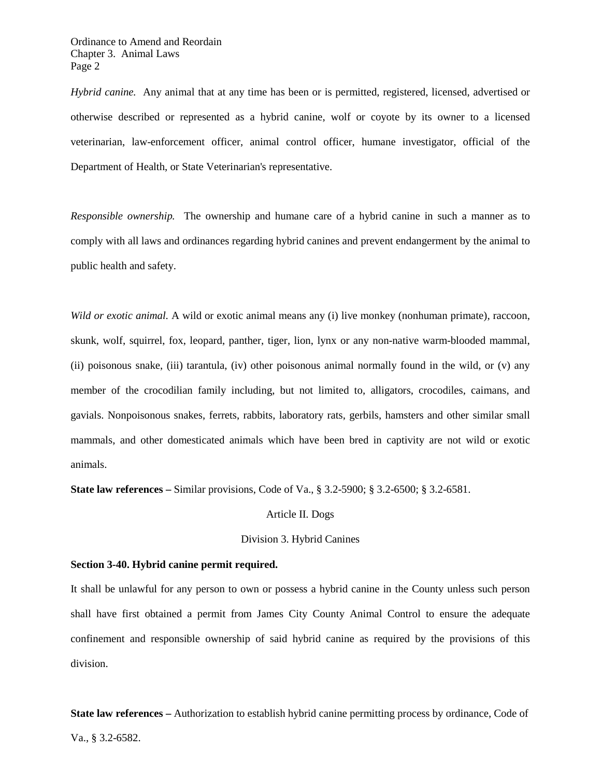Ordinance to Amend and Reordain Chapter 3. Animal Laws Page 2

*Hybrid canine.* Any animal that at any time has been or is permitted, registered, licensed, advertised or otherwise described or represented as a hybrid canine, wolf or coyote by its owner to a licensed veterinarian, law-enforcement officer, animal control officer, humane investigator, official of the Department of Health, or State Veterinarian's representative.

*Responsible ownership.* The ownership and humane care of a hybrid canine in such a manner as to comply with all laws and ordinances regarding hybrid canines and prevent endangerment by the animal to public health and safety.

*Wild or exotic animal.* A wild or exotic animal means any (i) live monkey (nonhuman primate), raccoon, skunk, wolf, squirrel, fox, leopard, panther, tiger, lion, lynx or any non-native warm-blooded mammal, (ii) poisonous snake, (iii) tarantula, (iv) other poisonous animal normally found in the wild, or (v) any member of the crocodilian family including, but not limited to, alligators, crocodiles, caimans, and gavials. Nonpoisonous snakes, ferrets, rabbits, laboratory rats, gerbils, hamsters and other similar small mammals, and other domesticated animals which have been bred in captivity are not wild or exotic animals.

**State law references –** Similar provisions, Code of Va., § 3.2-5900; § 3.2-6500; § 3.2-6581.

#### Article II. Dogs

#### Division 3. Hybrid Canines

#### **Section 3-40. Hybrid canine permit required.**

It shall be unlawful for any person to own or possess a hybrid canine in the County unless such person shall have first obtained a permit from James City County Animal Control to ensure the adequate confinement and responsible ownership of said hybrid canine as required by the provisions of this division.

**State law references –** Authorization to establish hybrid canine permitting process by ordinance, Code of Va., § 3.2-6582.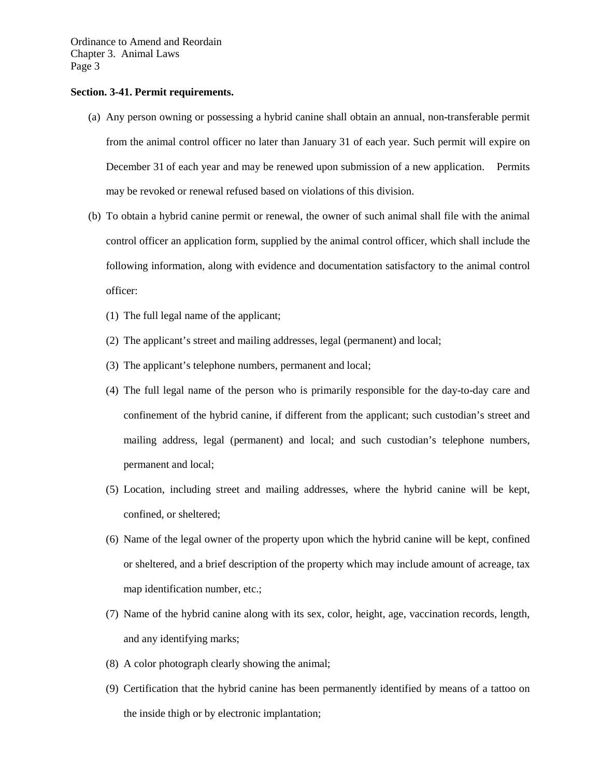Ordinance to Amend and Reordain Chapter 3. Animal Laws Page 3

#### **Section. 3-41. Permit requirements.**

- (a) Any person owning or possessing a hybrid canine shall obtain an annual, non-transferable permit from the animal control officer no later than January 31 of each year. Such permit will expire on December 31 of each year and may be renewed upon submission of a new application. Permits may be revoked or renewal refused based on violations of this division.
- (b) To obtain a hybrid canine permit or renewal, the owner of such animal shall file with the animal control officer an application form, supplied by the animal control officer, which shall include the following information, along with evidence and documentation satisfactory to the animal control officer:
	- (1) The full legal name of the applicant;
	- (2) The applicant's street and mailing addresses, legal (permanent) and local;
	- (3) The applicant's telephone numbers, permanent and local;
	- (4) The full legal name of the person who is primarily responsible for the day-to-day care and confinement of the hybrid canine, if different from the applicant; such custodian's street and mailing address, legal (permanent) and local; and such custodian's telephone numbers, permanent and local;
	- (5) Location, including street and mailing addresses, where the hybrid canine will be kept, confined, or sheltered;
	- (6) Name of the legal owner of the property upon which the hybrid canine will be kept, confined or sheltered, and a brief description of the property which may include amount of acreage, tax map identification number, etc.;
	- (7) Name of the hybrid canine along with its sex, color, height, age, vaccination records, length, and any identifying marks;
	- (8) A color photograph clearly showing the animal;
	- (9) Certification that the hybrid canine has been permanently identified by means of a tattoo on the inside thigh or by electronic implantation;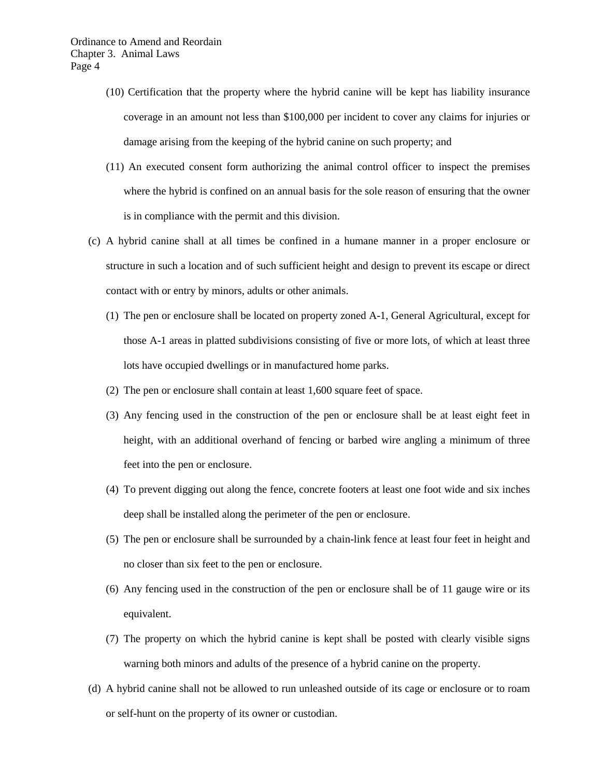- (10) Certification that the property where the hybrid canine will be kept has liability insurance coverage in an amount not less than \$100,000 per incident to cover any claims for injuries or damage arising from the keeping of the hybrid canine on such property; and
- (11) An executed consent form authorizing the animal control officer to inspect the premises where the hybrid is confined on an annual basis for the sole reason of ensuring that the owner is in compliance with the permit and this division.
- (c) A hybrid canine shall at all times be confined in a humane manner in a proper enclosure or structure in such a location and of such sufficient height and design to prevent its escape or direct contact with or entry by minors, adults or other animals.
	- (1) The pen or enclosure shall be located on property zoned A-1, General Agricultural, except for those A-1 areas in platted subdivisions consisting of five or more lots, of which at least three lots have occupied dwellings or in manufactured home parks.
	- (2) The pen or enclosure shall contain at least 1,600 square feet of space.
	- (3) Any fencing used in the construction of the pen or enclosure shall be at least eight feet in height, with an additional overhand of fencing or barbed wire angling a minimum of three feet into the pen or enclosure.
	- (4) To prevent digging out along the fence, concrete footers at least one foot wide and six inches deep shall be installed along the perimeter of the pen or enclosure.
	- (5) The pen or enclosure shall be surrounded by a chain-link fence at least four feet in height and no closer than six feet to the pen or enclosure.
	- (6) Any fencing used in the construction of the pen or enclosure shall be of 11 gauge wire or its equivalent.
	- (7) The property on which the hybrid canine is kept shall be posted with clearly visible signs warning both minors and adults of the presence of a hybrid canine on the property.
- (d) A hybrid canine shall not be allowed to run unleashed outside of its cage or enclosure or to roam or self-hunt on the property of its owner or custodian.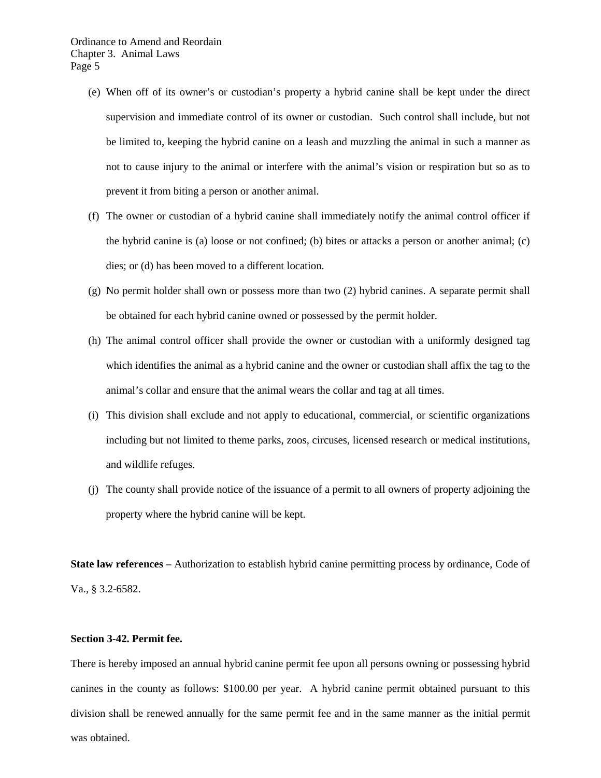- (e) When off of its owner's or custodian's property a hybrid canine shall be kept under the direct supervision and immediate control of its owner or custodian. Such control shall include, but not be limited to, keeping the hybrid canine on a leash and muzzling the animal in such a manner as not to cause injury to the animal or interfere with the animal's vision or respiration but so as to prevent it from biting a person or another animal.
- (f) The owner or custodian of a hybrid canine shall immediately notify the animal control officer if the hybrid canine is (a) loose or not confined; (b) bites or attacks a person or another animal; (c) dies; or (d) has been moved to a different location.
- (g) No permit holder shall own or possess more than two (2) hybrid canines. A separate permit shall be obtained for each hybrid canine owned or possessed by the permit holder.
- (h) The animal control officer shall provide the owner or custodian with a uniformly designed tag which identifies the animal as a hybrid canine and the owner or custodian shall affix the tag to the animal's collar and ensure that the animal wears the collar and tag at all times.
- (i) This division shall exclude and not apply to educational, commercial, or scientific organizations including but not limited to theme parks, zoos, circuses, licensed research or medical institutions, and wildlife refuges.
- (j) The county shall provide notice of the issuance of a permit to all owners of property adjoining the property where the hybrid canine will be kept.

**State law references –** Authorization to establish hybrid canine permitting process by ordinance, Code of Va., § 3.2-6582.

#### **Section 3-42. Permit fee.**

There is hereby imposed an annual hybrid canine permit fee upon all persons owning or possessing hybrid canines in the county as follows: \$100.00 per year. A hybrid canine permit obtained pursuant to this division shall be renewed annually for the same permit fee and in the same manner as the initial permit was obtained.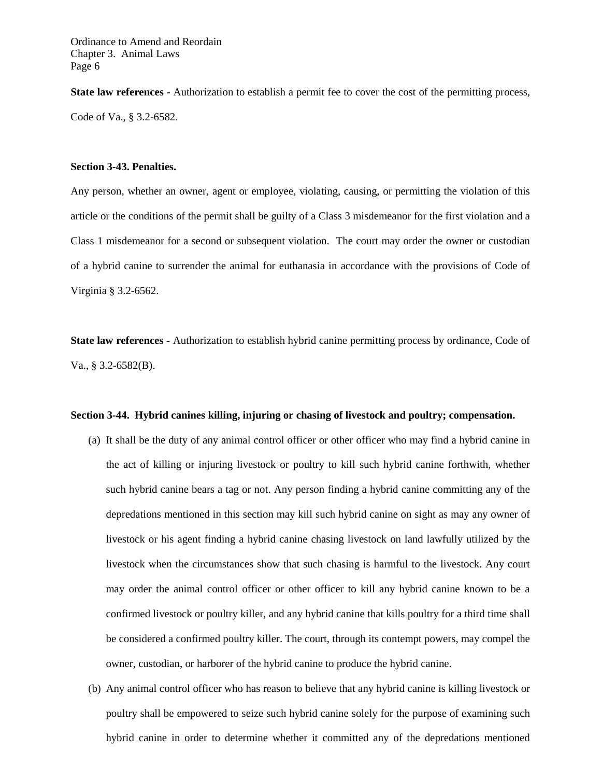**State law references -** Authorization to establish a permit fee to cover the cost of the permitting process, Code of Va., § 3.2-6582.

#### **Section 3-43. Penalties.**

Any person, whether an owner, agent or employee, violating, causing, or permitting the violation of this article or the conditions of the permit shall be guilty of a Class 3 misdemeanor for the first violation and a Class 1 misdemeanor for a second or subsequent violation. The court may order the owner or custodian of a hybrid canine to surrender the animal for euthanasia in accordance with the provisions of Code of Virginia § 3.2-6562.

**State law references -** Authorization to establish hybrid canine permitting process by ordinance, Code of Va., § 3.2-6582(B).

### **Section 3-44. Hybrid canines killing, injuring or chasing of livestock and poultry; compensation.**

- (a) It shall be the duty of any animal control officer or other officer who may find a hybrid canine in the act of killing or injuring livestock or poultry to kill such hybrid canine forthwith, whether such hybrid canine bears a tag or not. Any person finding a hybrid canine committing any of the depredations mentioned in this section may kill such hybrid canine on sight as may any owner of livestock or his agent finding a hybrid canine chasing livestock on land lawfully utilized by the livestock when the circumstances show that such chasing is harmful to the livestock. Any court may order the animal control officer or other officer to kill any hybrid canine known to be a confirmed livestock or poultry killer, and any hybrid canine that kills poultry for a third time shall be considered a confirmed poultry killer. The court, through its contempt powers, may compel the owner, custodian, or harborer of the hybrid canine to produce the hybrid canine.
- (b) Any animal control officer who has reason to believe that any hybrid canine is killing livestock or poultry shall be empowered to seize such hybrid canine solely for the purpose of examining such hybrid canine in order to determine whether it committed any of the depredations mentioned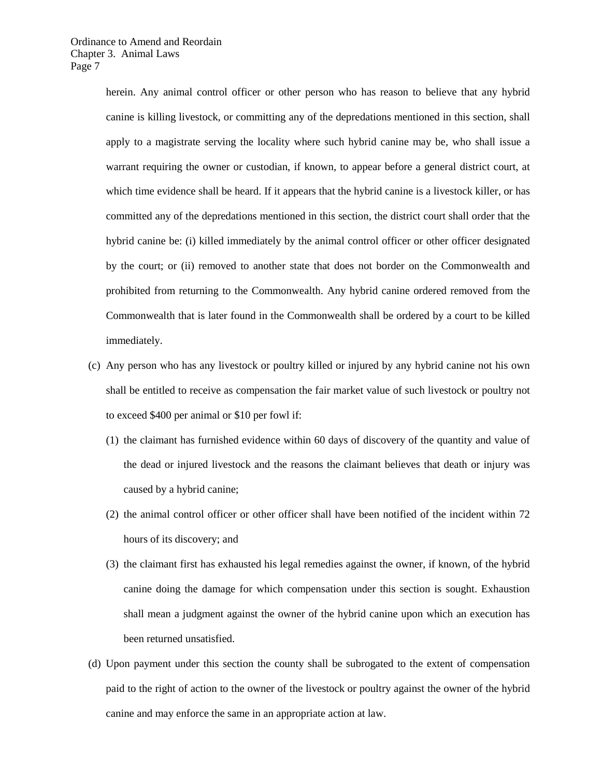herein. Any animal control officer or other person who has reason to believe that any hybrid canine is killing livestock, or committing any of the depredations mentioned in this section, shall apply to a magistrate serving the locality where such hybrid canine may be, who shall issue a warrant requiring the owner or custodian, if known, to appear before a general district court, at which time evidence shall be heard. If it appears that the hybrid canine is a livestock killer, or has committed any of the depredations mentioned in this section, the district court shall order that the hybrid canine be: (i) killed immediately by the animal control officer or other officer designated by the court; or (ii) removed to another state that does not border on the Commonwealth and prohibited from returning to the Commonwealth. Any hybrid canine ordered removed from the Commonwealth that is later found in the Commonwealth shall be ordered by a court to be killed immediately.

- (c) Any person who has any livestock or poultry killed or injured by any hybrid canine not his own shall be entitled to receive as compensation the fair market value of such livestock or poultry not to exceed \$400 per animal or \$10 per fowl if:
	- (1) the claimant has furnished evidence within 60 days of discovery of the quantity and value of the dead or injured livestock and the reasons the claimant believes that death or injury was caused by a hybrid canine;
	- (2) the animal control officer or other officer shall have been notified of the incident within 72 hours of its discovery; and
	- (3) the claimant first has exhausted his legal remedies against the owner, if known, of the hybrid canine doing the damage for which compensation under this section is sought. Exhaustion shall mean a judgment against the owner of the hybrid canine upon which an execution has been returned unsatisfied.
- (d) Upon payment under this section the county shall be subrogated to the extent of compensation paid to the right of action to the owner of the livestock or poultry against the owner of the hybrid canine and may enforce the same in an appropriate action at law.